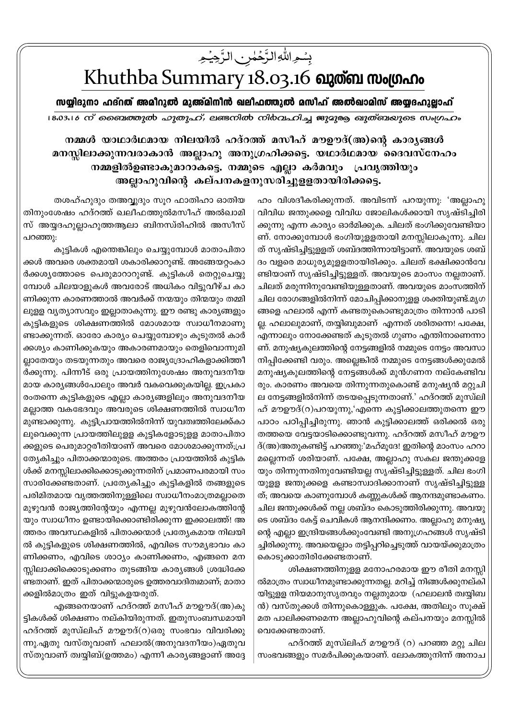## بِسُمِ اللّٰهِ الزَّحۡمٰنِ الزَّحِیۡمِ

## Khuthba Summary 18.03.16 ณาตัด พงเตกาง

സയ്യിദുനാ ഹദ്റത് അമീറുൽ മുഅ്മിനീൻ ഖലീഫത്തുൽ മസീഹ് അൽഖാമിസ് അയ്യദഹുല്ലാഹ്

18.03.16 ന് ബൈത്തുൽ ഹുതുഹ്, ലണ്ടനിൽ നിർവഹിച്ച ജുദുരു ഖുത്ബയുടെ സംഗ്രഹം

നമ്മൾ യാഥാർഥമായ നിലയിൽ ഹദ്റത്ത് മസീഹ് മൗഊദ്(അ)ന്റെ കാരൃങ്ങൾ മനസ്സിലാക്കുന്നവരാകാൻ അല്ലാഹു അനുഗ്രഹിക്കട്ടെ. യഥാർഥമായ ദൈവസ്നേഹം നമ്മളിൽഉണ്ടാകുമാറാകട്ടെ. നമ്മുടെ എല്ലാ കർമവും പ്രവൃത്തിയും അല്ലാഹുവിന്റെ കല്പനകളനുസരിച്ചുളളതായിരിക്കട്ടെ.

> ഹം വിശദീകരിക്കുന്നത്. അവിടന്ന് പറയുന്നു: 'അല്ലാഹു വിവിധ ജന്തുക്കളെ വിവിധ ജോലികൾക്കായി സൃഷ്ടിച്ചിരി ക്കുന്നു എന്ന കാര്യം ഓർമിക്കുക. ചിലത് ഭംഗിക്കുവേണ്ടിയാ ണ്. നോക്കുമ്പോൾ ഭംഗിയുളളതായി മനസ്സിലാകുന്നു. ചില ത് സൃഷ്ടിച്ചിട്ടുള്ളത് ശബ്ദത്തിന്നായിട്ടാണ്. അവയുടെ ശബ് ദം വളരെ മാധുര്യമുളളതായിരിക്കും. ചിലത് ഭക്ഷിക്കാൻവേ ണ്ടിയാണ് സൃഷ്ടിച്ചിട്ടുള്ളത്. അവയുടെ മാംസം നല്ലതാണ്. ചിലത് മരുന്നിനുവേണ്ടിയുള്ളതാണ്. അവയുടെ മാംസത്തിന് ചില രോഗങ്ങളിൽനിന്ന് മോചിപ്പിക്കാനുളള ശക്തിയുണ്ട്.മൃഗ ങ്ങളെ ഹലാൽ എന്ന് കണ്ടതുകൊണ്ടുമാത്രം തിന്നാൻ പാടി ല്ല. ഹലാലുമാണ്, തയ്യിബുമാണ് എന്നത് ശരിതന്നെ! പക്ഷേ, എന്നാലും നോക്കേണ്ടത് കൂടുതൽ ഗുണം എന്തിനാണെന്നാ ണ്. മനുഷ്യകുലത്തിന്റെ നേട്ടങ്ങളിൽ നമ്മുടെ നേട്ടം അവസാ നിപ്പിക്കേണ്ടി വരും. അല്ലെങ്കിൽ നമ്മുടെ നേട്ടങ്ങൾക്കുമേൽ മനുഷ്യകുലത്തിന്റെ നേട്ടങ്ങൾക്ക് മുൻഗണന നല്കേണ്ടിവ രും. കാരണം അവയെ തിന്നുന്നതുകൊണ്ട് മനുഷ്യൻ മറ്റുചി ല നേട്ടങ്ങളിൽനിന്ന് തടയപ്പെടുന്നതാണ്.' ഹദ്റത്ത് മുസ്ഥി ഹ് മൗഊദ്(റ)പറയുന്നു,'എന്നെ കുട്ടിക്കാലത്തുതന്നെ ഈ പാഠം പഠിപ്പിച്ചിരുന്നു. ഞാൻ കുട്ടിക്കാലത്ത് ഒരിക്കൽ ഒരു തത്തയെ വേട്ടയാടിക്കൊണ്ടുവന്നു. ഹദ്റത്ത് മസീഹ് മൗഊ ദ്(അ)അതുകണ്ടിട്ട് പറഞ്ഞു:'മഹ്മൂദേ! ഇതിന്റെ മാംസം ഹറാ മല്ലെന്നത് ശരിയാണ്. പക്ഷേ, അല്ലാഹു സകല ജന്തുക്കളേ യും തിന്നുന്നതിനുവേണ്ടിയല്ല സൃഷ്ടിച്ചിട്ടുള്ളത്. ചില ഭംഗി യുള്ള ജന്തുക്കളെ കണ്ടാസ്വാദിക്കാനാണ് സൃഷ്ടിച്ചിട്ടുള്ള ത്; അവയെ കാണുമ്പോൾ കണ്ണുകൾക്ക് ആനന്ദമുണ്ടാകണം. ചില ജന്തുക്കൾക്ക് നല്ല ശബ്ദം കൊടുത്തിരിക്കുന്നു. അവയു ടെ ശബ്ദം കേട്ട് ചെവികൾ ആനന്ദിക്കണം. അല്ലാഹു മനുഷ്യ ന്റെ എല്ലാ ഇന്ദ്രിയങ്ങൾക്കുംവേണ്ടി അനുഗ്രഹങ്ങൾ സൃഷ്ടി ച്ചിരിക്കുന്നു. അവയെല്ലാം തട്ടിപ്പറിച്ചെടുത്ത് വായയ്ക്കുമാത്രം കൊടുക്കാതിരിക്കേണ്ടതാണ്.

> ശിക്ഷണത്തിനുളള മനോഹരമായ ഈ രീതി മനസ്സി ൽമാത്രം സ്വാധീനമുണ്ടാക്കുന്നതല്ല. മറിച്ച് നിങ്ങൾക്കുനല്കി യിട്ടുളള നിയമാനുസൃതവും നല്ലതുമായ (ഹലാലൻ ത്വയ്യിബ ൻ) വസ്തുക്കൾ തിന്നുകൊള്ളുക. പക്ഷേ, അതിലും സൂക്ഷ് മത പാലിക്കണമെന്ന അല്ലാഹുവിന്റെ കല്പനയും മനസ്സിൽ വെക്കേണ്ടതാണ്.

> ഹദ്റത്ത് മുസ്ലിഹ് മൗഊദ് (റ) പറഞ്ഞ മറ്റു ചില സംഭവങ്ങളും സമർപിക്കുകയാണ്. ലോകത്തുനിന്ന് അനാച

തശഹ്ഹുദും തഅവ്വദും സൂറ ഫാതിഹാ ഓതിയ തിനുംശേഷം ഹദ്റത്ത് ഖലീഫത്തുൽമസീഹ് അൽഖാമി സ് അയ്യദഹുല്ലാഹുത്തആലാ ബിനസ്രിഹിൽ അസീസ് പറഞ്ഞു:

കുട്ടികൾ എന്തെങ്കിലും ചെയ്യുമ്പോൾ മാതാപിതാ ക്കൾ അവരെ ശക്തമായി ശകാരിക്കാറുണ്ട്. അങ്ങേയറ്റംകാ ർക്കശ്യത്തോടെ പെരുമാറാറുണ്ട്. കുട്ടികൾ തെറ്റുചെയ്യു മ്പോൾ ചിലയാളുകൾ അവരോട് അധികം വിട്ടുവീഴ്ച കാ ണിക്കുന്ന കാരണത്താൽ അവർക്ക് നന്മയും തിന്മയും തമ്മി ലുളള വൃത്യാസവും ഇല്ലാതാകുന്നു. ഈ രണ്ടു കാര്യങ്ങളും കുട്ടികളുടെ ശിക്ഷണത്തിൽ മോശമായ സ്വാധീനമാണു ണ്ടാക്കുന്നത്. ഓരോ കാര്യം ചെയ്യുമ്പോഴും കൂടുതൽ കാർ ക്കശ്യം കാണിക്കുകയും അകാരണമായും തെളിവൊന്നുമി ല്ലാതേയും തടയുന്നതും അവരെ രാജ്യദ്രോഹികളാക്കിത്തീ ർക്കുന്നു. പിന്നീട് ഒരു പ്രായത്തിനുശേഷം അനുവദനീയ മായ കാര്യങ്ങൾപോലും അവർ വകവെക്കുകയില്ല. ഇപ്രകാ രംതന്നെ കുട്ടികളുടെ എല്ലാ കാര്യങ്ങളിലും അനുവദനീയ മല്ലാത്ത വകഭേദവും അവരുടെ ശിക്ഷണത്തിൽ സ്വാധീന മുണ്ടാക്കുന്നു. കുട്ടിപ്രായത്തിൽനിന്ന് യുവത്വത്തിലേക്ക്കാ ലുവെക്കുന്ന പ്രായത്തിലുളള കുട്ടികളോടുളള മാതാപിതാ ക്കളുടെ പെരുമാറ്റരീതിയാണ് അവരെ മോശമാക്കുന്നത്;പ്ര ത്യേകിച്ചും പിതാക്കന്മാരുടെ. അത്തരം പ്രായത്തിൽ കുട്ടിക ൾക്ക് മനസ്സിലാക്കിക്കൊടുക്കുന്നതിന് പ്രമാണപരമായി സം സാരിക്കേണ്ടതാണ്. പ്രത്യേകിച്ചും കുട്ടികളിൽ തങ്ങളുടെ പരിമിതമായ വൃത്തത്തിനുള്ളിലെ സ്വാധീനംമാത്രമല്ലാതെ മുഴുവൻ രാജ്യത്തിന്റേയും എന്നല്ല മുഴുവൻലോകത്തിന്റേ യും സ്വാധീനം ഉണ്ടായിക്കൊണ്ടിരിക്കുന്ന ഇക്കാലത്ത്! അ ത്തരം അവസ്ഥകളിൽ പിതാക്കന്മാർ പ്രത്യേകമായ നിലയി ൽ കുട്ടികളുടെ ശിക്ഷണത്തിൽ, എവിടെ സൗമൃഭാവം കാ ണിക്കണം, എവിടെ ശാഠ്യം കാണിക്കണം, എങ്ങനെ മന സ്സിലാക്കിക്കൊടുക്കണം തുടങ്ങിയ കാര്യങ്ങൾ ശ്രദ്ധിക്കേ ണ്ടതാണ്. ഇത് പിതാക്കന്മാരുടെ ഉത്തരവാദിത്വമാണ്; മാതാ ക്കളിൽമാത്രം ഇത് വിട്ടുകളയരുത്.

എങ്ങനെയാണ് ഹദ്റത്ത് മസീഹ് മൗഊദ്(അ)കു ട്ടികൾക്ക് ശിക്ഷണം നല്കിയിരുന്നത്. ഇതുസംബന്ധമായി ഹദ്റത്ത് മുസ്ഥിഹ് മൗഊദ്(റ)ഒരു സംഭവം വിവരിക്കു ന്നു.ഏതു വസ്തുവാണ് ഹലാൽ(അനുവദനീയം)ഏതുവ സ്തുവാണ് ത്വയ്യിബ്(ഉത്തമം) എന്നീ കാര്യങ്ങളാണ് അദ്ദേ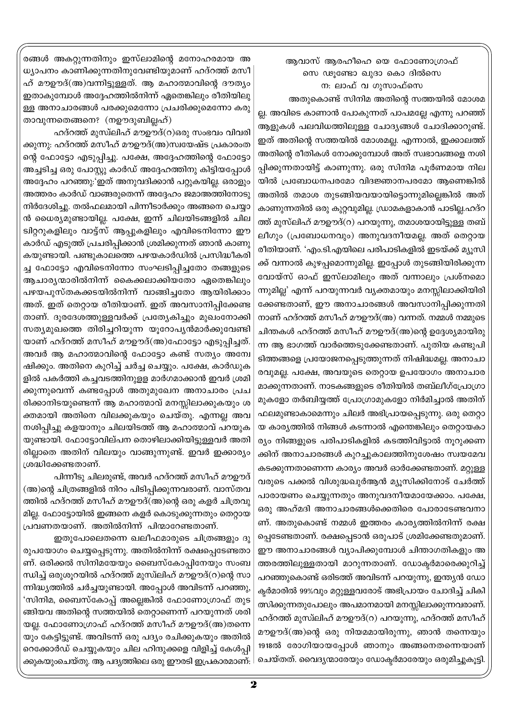## ആവാസ് ആരഹീഹെ യെ ഫോണോഗ്രാഫ് സെ ഢൂണ്ടോ ഖുദാ കൊ ദിൽസെ ന: ലാഫ് വ ഗുസാഫ്സെ

അതുകൊണ്ട് സിനിമ അതിന്റെ സത്തയിൽ മോശമ ല്ല. അവിടെ കാണാൻ പോകുന്നത് പാപമല്ലേ എന്നു പറഞ്ഞ് ആളുകൾ പലവിധത്തിലുള്ള ചോദ്യങ്ങൾ ചോദിക്കാറുണ്ട്. ഇത് അതിന്റെ സത്തയിൽ മോശമല്ല. എന്നാൽ, ഇക്കാലത്ത് അതിന്റെ രീതികൾ നോക്കുമ്പോൾ അത് സ്വഭാവങ്ങളെ നശി പ്പിക്കുന്നതായിട്ട് കാണുന്നു. ഒരു സിനിമ പൂർണമായ നില യിൽ പ്രബോധനപരമോ വിദജ്ഞാനപരമോ ആണെങ്കിൽ അതിൽ തമാശ തുടങ്ങിയവയായിട്ടൊന്നുമില്ലെങ്കിൽ അത് കാണുന്നതിൽ ഒരു കുറ്റവുമില്ല. ഡ്രാമകളാകാൻ പാടില്ല.ഹദ്റ ത്ത് മുസ്ലിഹ് മൗഊദ്(റ) പറയുന്നു, തമാശയായിട്ടുള്ള തബ് ലീഗും (പ്രബോധനവും) അനുവദനീയമല്ല. അത് തെറ്റായ രീതിയാണ്. 'എം.ടി.എയിലെ പരിപാടികളിൽ ഇടയ്ക്ക് മ്യൂസി ക്ക് വന്നാൽ കുഴപ്പമൊന്നുമില്ല. ഇപ്പോൾ തുടങ്ങിയിരിക്കുന്ന വോയ്സ് ഓഫ് ഇസ്ലാമിലും അത് വന്നാലും പ്രശ്നമൊ ന്നുമില്ല' എന്ന് പറയുന്നവർ വ്യക്തമായും മനസ്സിലാക്കിയിരി ക്കേണ്ടതാണ്, ഈ അനാചാരങ്ങൾ അവസാനിപ്പിക്കുന്നതി നാണ് ഹദ്റത്ത് മസീഹ് മൗഊദ്(അ) വന്നത്. നമ്മൾ നമ്മുടെ ചിന്തകൾ ഹദ്റത്ത് മസീഹ് മൗഊദ്(അ)ന്റെ ഉദ്ദേശ്യമായിരു ന്ന ആ ഭാഗത്ത് വാർത്തെടുക്കേണ്ടതാണ്. പുതിയ കണ്ടുപി ടിത്തങ്ങളെ പ്രയോജനപ്പെടുത്തുന്നത് നിഷിദ്ധമല്ല. അനാചാ രവുമല്ല. പക്ഷേ, അവയുടെ തെറ്റായ ഉപയോഗം അനാചാര മാക്കുന്നതാണ്. നാടകങ്ങളുടെ രീതിയിൽ തബ്ലീഗ്പ്രോഗ്രാ മുകളോ തർബിയ്യത്ത് പ്രോഗ്രാമുകളോ നിർമിച്ചാൽ അതിന് ഫലമുണ്ടാകാമെന്നും ചിലർ അഭിപ്രായപ്പെടുന്നു. ഒരു തെറ്റാ യ കാര്യത്തിൽ നിങ്ങൾ കടന്നാൽ എന്തെങ്കിലും തെറ്റായകാ ര്യം നിങ്ങളുടെ പരിപാടികളിൽ കടത്തിവിട്ടാൽ നൂറുക്കണ ക്കിന് അനാചാരങ്ങൾ കുറച്ചുകാലത്തിനുശേഷം സ്വയമേവ കടക്കുന്നതാണെന്ന കാര്യം അവർ ഓർക്കേണ്ടതാണ്. മറ്റുള്ള വരുടെ പക്കൽ വിശുദ്ധഖുർആൻ മ്യൂസിക്കിനോട് ചേർത്ത് പാരായണം ചെയ്യുന്നതും അനുവദനീയമായേക്കാം. പക്ഷേ, ഒരു അഹ്മദി അനാചാരങ്ങൾക്കെതിരെ പോരാടേണ്ടവനാ ണ്. അതുകൊണ്ട് നമ്മൾ ഇത്തരം കാര്യത്തിൽനിന്ന് രക്ഷ പ്പെടേണ്ടതാണ്. രക്ഷപ്പെടാൻ ഒരുപാട് ശ്രമിക്കേണ്ടതുമാണ്. ഈ അനാചാരങ്ങൾ വ്യാപിക്കുമ്പോൾ ചിന്താഗതികളും അ ത്തരത്തിലുള്ളതായി മാറുന്നതാണ്. ഡോക്ടർമാരെക്കുറിച്ച് പറഞ്ഞുകൊണ്ട് ഒരിടത്ത് അവിടന്ന് പറയുന്നു, ഇന്ത്യൻ ഡോ ക്ടർമാരിൽ 99%വും മറ്റുള്ളവരോട് അഭിപ്രായം ചോദിച്ച് ചികി ത്സിക്കുന്നതുപോലും അപമാനമായി മനസ്സിലാക്കുന്നവരാണ്. ഹദ്റത്ത് മുസ്ഥിഹ് മൗഊദ്(റ) പറയുന്നു, ഹദ്റത്ത് മസീഹ് മൗഉൗദ്(അ)ന്റെ ഒരു നിയമമായിരുന്നു, ഞാൻ തന്നെയും 1918ൽ രോഗിയായപ്പോൾ ഞാനും അങ്ങനെതന്നെയാണ് ചെയ്തത്. വൈദ്യന്മാരേയും ഡോക്ടർമാരേയും ഒരുമിച്ചുകൂട്ടി.

രങ്ങൾ അകറ്റുന്നതിനും ഇസ്ലാമിന്റെ മനോഹരമായ അ ധ്യാപനം കാണിക്കുന്നതിനുവേണ്ടിയുമാണ് ഹദ്റത്ത് മസീ ഹ് മൗഊദ്(അ)വന്നിട്ടുള്ളത്. ആ മഹാത്മാവിന്റെ ദൗത്യം ഇതാകുമ്പോൾ അദ്ദേഹത്തിൽനിന്ന് ഏതെങ്കിലും രീതിയിലു ള്ള അനാചാരങ്ങൾ പരക്കുമെന്നോ പ്രചരിക്കുമെന്നോ കരു താവുന്നതെങ്ങനെ? (നഊദുബില്ലഹ്)

ഹദ്റത്ത് മുസ്ലിഹ് മൗഊദ്(റ)ഒരു സംഭവം വിവരി ക്കുന്നു: ഹദ്റത്ത് മസീഹ് മൗഊദ്(അ)സ്വയേഷ്ട പ്രകാരംത ന്റെ ഫോട്ടോ എടുപ്പിച്ചു. പക്ഷേ, അദ്ദേഹത്തിന്റെ ഫോട്ടോ അച്ചടിച്ച ഒരു പോസ്റ്റു കാർഡ് അദ്ദേഹത്തിനു കിട്ടിയപ്പോൾ അദ്ദേഹം പറഞ്ഞു:'ഇത് അനുവദിക്കാൻ പറ്റുകയില്ല. ഒരാളും അത്തരം കാർഡ് വാങ്ങരുതെന്ന് അദ്ദേഹം ജമാഅത്തിനോടു നിർദേശിച്ചു. തൽഫലമായി പിന്നീടാർക്കും അങ്ങനെ ചെയ്യാ ൻ ധൈര്യമുണ്ടായില്ല. പക്ഷേ, ഇന്ന് ചിലയിടങ്ങളിൽ ചില ട്വിറ്ററുകളിലും വാട്ട്സ് ആപ്പുകളിലും എവിടെനിന്നോ ഈ കാർഡ് എടുത്ത് പ്രചരിപ്പിക്കാൻ ശ്രമിക്കുന്നത് ഞാൻ കാണു കയുണ്ടായി. പണ്ടുകാലത്തെ പഴയകാർഡിൽ പ്രസിദ്ധീകരി ച്ച ഫോട്ടോ എവിടെനിന്നോ സംഘടിപ്പിച്ചതോ തങ്ങളുടെ ആചാര്യന്മാരിൽനിന്ന് കൈക്കലാക്കിയതോ ഏതെങ്കിലും പഴയപുസ്തകക്കടയിൽനിന്ന് വാങ്ങിച്ചതോ ആയിരിക്കാം അത്. ഇത് തെറ്റായ രീതിയാണ്. ഇത് അവസാനിപ്പിക്കേണ്ട താണ്. ദൂരദേശത്തുള്ളവർക്ക് പ്രത്യേകിച്ചും മുഖംനോക്കി സത്യമുഖത്തെ തിരിച്ചറിയുന്ന യൂറോപ്യൻമാർക്കുവേണ്ടി യാണ് ഹദ്റത്ത് മസീഹ് മൗഊദ്(അ)ഫോട്ടോ എടുപ്പിച്ചത്. അവർ ആ മഹാത്മാവിന്റെ ഫോട്ടോ കണ്ട് സത്യം അന്വേ ഷിക്കും. അതിനെ കുറിച്ച് ചർച്ച ചെയ്യും. പക്ഷേ, കാർഡുക ളിൽ പകർത്തി കച്ചവടത്തിനുളള മാർഗമാക്കാൻ ഇവർ ശ്രമി ക്കുന്നുവെന്ന് കണ്ടപ്പോൾ അതുമുഖേന അനാചാരം പ്രച രിക്കാനിടയുണ്ടെന്ന് ആ മഹാത്മാവ് മനസ്സിലാക്കുകയും ശ ക്തമായി അതിനെ വിലക്കുകയും ചെയ്തു. എന്നല്ല അവ നശിപ്പിച്ചു കളയാനും ചിലയിടത്ത് ആ മഹാത്മാവ് പറയുക യുണ്ടായി. ഫോട്ടോവില്പന തൊഴിലാക്കിയിട്ടുള്ളവർ അതി രില്ലാതെ അതിന് വിലയും വാങ്ങുന്നുണ്ട്. ഇവർ ഇക്കാര്യം ശ്രദ്ധിക്കേണ്ടതാണ്.

പിന്നീടു ചിലരുണ്ട്, അവർ ഹദ്റത്ത് മസീഹ് മൗഊദ് (അ)ന്റെ ചിത്രങ്ങളിൽ നിറം പിടിപ്പിക്കുന്നവരാണ്. വാസ്തവ ത്തിൽ ഹദ്റത്ത് മസീഹ് മൗഊദ്(അ)ന്റെ ഒരു കളർ ചിത്രവു മില്ല. ഫോട്ടോയിൽ ഇങ്ങനെ കളർ കൊടുക്കുന്നതും തെറ്റായ പ്രവണതയാണ്. അതിൽനിന്ന് പിന്മാറേണ്ടതാണ്.

ഇതുപോലെതന്നെ ഖലീഫമാരുടെ ചിത്രങ്ങളും ദു രുപയോഗം ചെയ്യപ്പെടുന്നു. അതിൽനിന്ന് രക്ഷപ്പെടേണ്ടതാ ണ്. ഒരിക്കൽ സിനിമയേയും ബൈസ്കോപ്പിനേയും സംബ ന്ധിച്ച് ഒരുശൂറയിൽ ഹദ്റത്ത് മുസ്ലിഹ് മൗഊദ്(റ)ന്റെ സാ ന്നിദ്ധ്യത്തിൽ ചർച്ചയുണ്ടായി. അപ്പോൾ അവിടന്ന് പറഞ്ഞു, 'സിനിമ, ബൈസ്കോപ്പ് അല്ലെങ്കിൽ ഫോണോഗ്രാഫ് തുട ങ്ങിയവ അതിന്റെ സത്തയിൽ തെറ്റാണെന്ന് പറയുന്നത് ശരി യല്ല. ഫോണോഗ്രാഫ് ഹദ്റത്ത് മസീഹ് മൗഊദ്(അ)തന്നെ യും കേട്ടിട്ടുണ്ട്. അവിടന്ന് ഒരു പദ്യം രചിക്കുകയും അതിൽ റെക്കോർഡ് ചെയ്യുകയും ചില ഹിന്ദുക്കളെ വിളിച്ച് കേൾപ്പി ക്കുകയുംചെയ്തു. ആ പദ്യത്തിലെ ഒരു ഈരടി ഇപ്രകാരമാണ്: l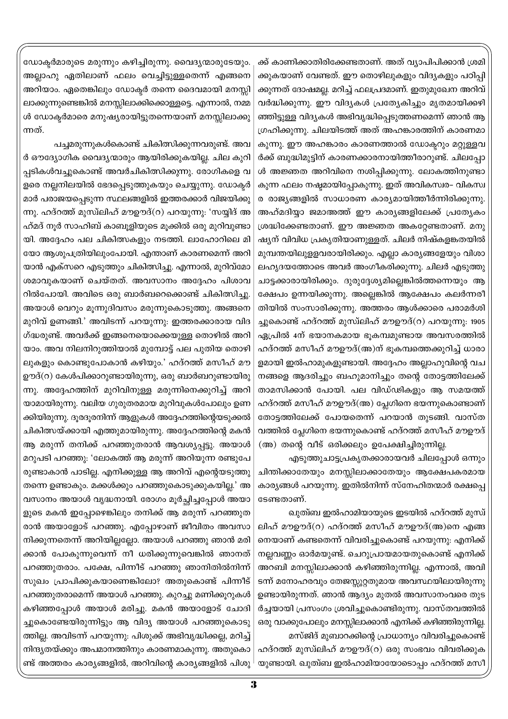ക്ക് കാണിക്കാതിരിക്കേണ്ടതാണ്. അത് വ്യാപിപിക്കാൻ ശ്രമി ക്കുകയാണ് വേണ്ടത്. ഈ തൊഴിലുകളും വിദ്യകളും പഠിപ്പി ക്കുന്നത് ദോഷമല്ല. മറിച്ച് ഫലപ്രദമാണ്. ഇതുമുഖേന അറിവ് വർദ്ധിക്കുന്നു. ഈ വിദ്യകൾ പ്രത്യേകിച്ചും മൃതമായിക്കഴി ഞ്ഞിട്ടുള്ള വിദ്യകൾ അഭിവൃദ്ധിപ്പെടുത്തണമെന്ന് ഞാൻ ആ ഗ്രഹിക്കുന്നു. ചിലയിടത്ത് അത് അഹങ്കാരത്തിന് കാരണമാ കുന്നു. ഈ അഹങ്കാരം കാരണത്താൽ ഡോക്ടറും മറ്റുള്ളവ ർക്ക് ബുദ്ധിമുട്ടിന് കാരണക്കാരനായിത്തീരാറുണ്ട്. ചിലപ്പോ ൾ അജ്ഞത അറിവിനെ നശിപ്പിക്കുന്നു. ലോകത്തിനുണ്ടാ കുന്ന ഫലം നഷ്ടമായിപ്പോകുന്നു. ഇത് അവികസ്വര– വികസ്വ ര രാജ്യങ്ങളിൽ സാധാരണ കാര്യമായിത്തീർന്നിരിക്കുന്നു. അഹ്മദിയ്യാ ജമാഅത്ത് ഈ കാര്യങ്ങളിലേക്ക് പ്രത്യേകം ശ്രദ്ധിക്കേണ്ടതാണ്. ഈ അജ്ഞത അകറ്റേണ്ടതാണ്. മനു ഷ്യന് വിവിധ പ്രകൃതിയാണുള്ളത്. ചിലർ നിഷ്കളങ്കതയിൽ മുമ്പന്തയിലുളളവരായിരിക്കും. എല്ലാ കാര്യങ്ങളേയും വിശാ ലഹൃദയത്തോടെ അവർ അംഗീകരിക്കുന്നു. ചിലർ എടുത്തു ചാട്ടക്കാരായിരിക്കും. ദുരുദ്ദേശ്യമില്ലെങ്കിൽത്തന്നെയും ആ ക്ഷേപം ഉന്നയിക്കുന്നു. അല്ലെങ്കിൽ ആക്ഷേപം കലർന്നരീ തിയിൽ സംസാരിക്കുന്നു. അത്തരം ആൾക്കാരെ പരാമർശി ച്ചുകൊണ്ട് ഹദ്റത്ത് മുസ്ലിഹ് മൗഊദ്(റ) പറയുന്നു. 1905 ഏപ്രിൽ 4ന് ഭയാനകമായ ഭൂകമ്പമുണ്ടായ അവസരത്തിൽ ഹദ്റത്ത് മസീഹ് മൗഊദ്(അ)ന് ഭൂകമ്പത്തെക്കുറിച്ച് ധാരാ ളമായി ഇൽഹാമുകളുണ്ടായി. അദ്ദേഹം അല്ലാഹുവിന്റെ വച നങ്ങളെ ആദരിച്ചും ബഹുമാനിച്ചും തന്റെ തോട്ടത്തിലേക്ക് താമസിക്കാൻ പോയി. പല വിഡ്ഢികളും ആ സമയത്ത് ഹദ്റത്ത് മസീഹ് മൗഊദ്(അ) പ്ലേഗിനെ ഭയന്നുകൊണ്ടാണ് തോട്ടത്തിലേക്ക് പോയതെന്ന് പറയാൻ തുടങ്ങി. വാസ്ത വത്തിൽ പ്ലേഗിനെ ഭയന്നുകൊണ്ട് ഹദ്റത്ത് മസീഹ് മൗഊദ് (അ) തന്റെ വീട് ഒരിക്കലും ഉപേക്ഷിച്ചിരുന്നില്ല.

എടുത്തുചാട്ടപ്രകൃതക്കാരായവർ ചിലപ്പോൾ ഒന്നും ചിന്തിക്കാതേയും മനസ്സിലാക്കാതേയും ആക്ഷേപകരമായ കാര്യങ്ങൾ പറയുന്നു. ഇതിൽനിന്ന് സ്നേഹിതന്മാർ രക്ഷപ്പെ ടേണ്ടതാണ്.

ഖുത്വബ ഇൽഹാമിയായുടെ ഇടയിൽ ഹദ്റത്ത് മുസ് ലിഹ് മൗഊദ്(റ) ഹദ്റത്ത് മസീഹ് മൗഊദ്(അ)നെ എങ്ങ നെയാണ് കണ്ടതെന്ന് വിവരിച്ചുകൊണ്ട് പറയുന്നു: എനിക്ക് നല്ലവണ്ണം ഓർമയുണ്ട്. ചെറുപ്രായമായതുകൊണ്ട് എനിക്ക് അറബി മനസ്സിലാക്കാൻ കഴിഞ്ഞിരുന്നില്ല. എന്നാൽ, അവി ടന്ന് മനോഹരവും തേജസ്സുറ്റതുമായ അവസ്ഥയിലായിരുന്നു ഉണ്ടായിരുന്നത്. ഞാൻ ആദ്യം മുതൽ അവസാനംവരെ തുട ർച്ചയായി പ്രസംഗം ശ്രവിച്ചുകൊണ്ടിരുന്നു. വാസ്തവത്തിൽ ഒരു വാക്കുപോലും മനസ്സിലാക്കാൻ എനിക്ക് കഴിഞ്ഞിരുന്നില്ല. മസ്ജിദ് മുബാറക്കിന്റെ പ്രാധാന്യം വിവരിച്ചുകൊണ്ട്

ഹദ്റത്ത് മുസ്ഥിഹ് മൗഊദ്(റ) ഒരു സംഭവം വിവരിക്കുക യുണ്ടായി. ഖുത്ബ ഇൽഹാമിയായോടൊപ്പം ഹദ്റത്ത് മസീ

ഡോക്ടർമാരുടെ മരുന്നും കഴിച്ചിരുന്നു. വൈദൃന്മാരുടേയും. അല്ലാഹു ഏതിലാണ് ഫലം വെച്ചിട്ടുള്ളതെന്ന് എങ്ങനെ അറിയാം. ഏതെങ്കിലും ഡോക്ടർ തന്നെ ദൈവമായി മനസ്സി ലാക്കുന്നുണ്ടെങ്കിൽ മനസ്സിലാക്കിക്കൊള്ളട്ടെ. എന്നാൽ, നമ്മ ൾ ഡോക്ടർമാരെ മനുഷ്യരായിട്ടുതന്നെയാണ് മനസ്സിലാക്കു ന്നത്.

പച്ചമരുന്നുകൾകൊണ്ട് ചികിത്സിക്കുന്നവരുണ്ട്. അവ ർ ഔദ്യോഗിക വൈദ്യന്മാരും ആയിരിക്കുകയില്ല. ചില കുറി പ്പടികൾവച്ചുകൊണ്ട് അവർചികിത്സിക്കുന്നു. രോഗികളെ വ ളരെ നല്ലനിലയിൽ ഭേദപ്പെടുത്തുകയും ചെയ്യുന്നു. ഡോക്ടർ മാർ പരാജയപ്പെടുന്ന സ്ഥലങ്ങളിൽ ഇത്തരക്കാർ വിജയിക്കു ന്നു. ഹദ്റത്ത് മുസ്ഥിഹ് മൗഊദ്(റ) പറയുന്നു: 'സയ്യിദ് അ ഹ്മദ് നൂർ സാഹിബ് കാബൂളിയുടെ മൂക്കിൽ ഒരു മുറിവുണ്ടാ യി. അദ്ദേഹം പല ചികിത്സകളും നടത്തി. ലാഹോറിലെ മി യോ ആശുപത്രിയിലുംപോയി. എന്താണ് കാരണമെന്ന് അറി യാൻ എക്സറെ എടുത്തും ചികിത്സിച്ചു. എന്നാൽ, മുറിവ്മോ ശമാവുകയാണ് ചെയ്തത്. അവസാനം അദ്ദേഹം പിശാവ റിൽപോയി. അവിടെ ഒരു ബാർബറെക്കൊണ്ട് ചികിത്സിച്ചു. അയാൾ വെറും മൂന്നുദിവസം മരുന്നുകൊടുത്തു. അങ്ങനെ മുറിവ് ഉണങ്ങി.' അവിടന്ന് പറയുന്നു: ഇത്തരക്കാരായ വിദ ഗ്ദ്ധരുണ്ട്. അവർക്ക് ഇങ്ങനെയൊക്കെയുള്ള തൊഴിൽ അറി യാം. അവ നിലനിറുത്തിയാൽ മുമ്പോട്ട് പല പുതിയ തൊഴി ലുകളും കൊണ്ടുപോകാൻ കഴിയും.' ഹദ്റത്ത് മസീഹ് മൗ ഊദ്(റ) കേൾപിക്കാറുണ്ടായിരുന്നു, ഒരു ബാർബറുണ്ടായിരു ന്നു. അദ്ദേഹത്തിന് മുറിവിനുള്ള മരുന്നിനെക്കുറിച്ച് അറി യാമായിരുന്നു. വലിയ ഗുരുതരമായ മുറിവുകൾപോലും ഉണ ക്കിയിരുന്നു. ദൂരദൂരനിന്ന് ആളുകൾ അദ്ദേഹത്തിന്റെയടുക്കൽ ചികിത്സയ്ക്കായി എത്തുമായിരുന്നു. അദ്ദേഹത്തിന്റെ മകൻ ആ മരുന്ന് തനിക്ക് പറഞ്ഞുതരാൻ ആവശ്യപ്പട്ടു. അയാൾ മറുപടി പറഞ്ഞു: 'ലോകത്ത് ആ മരുന്ന് അറിയുന്ന രണ്ടുപേ രുണ്ടാകാൻ പാടില്ല. എനിക്കുള്ള ആ അറിവ് എന്റെയടുത്തു തന്നെ ഉണ്ടാകും. മക്കൾക്കും പറഞ്ഞുകൊടുക്കുകയില്ല.' അ വസാനം അയാൾ വൃദ്ധനായി. രോഗം മൂർച്ചിച്ചപ്പോൾ അയാ ളുടെ മകൻ ഇപ്പോഴെങ്കിലും തനിക്ക് ആ മരുന്ന് പറഞ്ഞുത രാൻ അയാളോട് പറഞ്ഞു. എപ്പോഴാണ് ജീവിതം അവസാ നിക്കുന്നതെന്ന് അറിയില്ലല്ലോ. അയാൾ പറഞ്ഞു ഞാൻ മരി ക്കാൻ പോകുന്നുവെന്ന് നീ ധരിക്കുന്നുവെങ്കിൽ ഞാനത് പറഞ്ഞുതരാം. പക്ഷേ, പിന്നീട് പറഞ്ഞു ഞാനിതിൽനിന്ന് സുഖം പ്രാപിക്കുകയാണെങ്കിലോ? അതുകൊണ്ട് പിന്നീട് പറഞ്ഞുതരാമെന്ന് അയാൾ പറഞ്ഞു. കുറച്ചു മണിക്കൂറുകൾ കഴിഞ്ഞപ്പോൾ അയാൾ മരിച്ചു. മകൻ അയാളോട് ചോദി ച്ചുകൊണ്ടേയിരുന്നിട്ടും ആ വിദ്യ അയാൾ പറഞ്ഞുകൊടു ത്തില്ല. അവിടന്ന് പറയുന്നു: പിശുക്ക് അഭിവൃദ്ധിക്കല്ല, മറിച്ച് നിന്ദ്യതയ്ക്കും അപമാനത്തിനും കാരണമാകുന്നു. അതുകൊ ണ്ട് അത്തരം കാര്യങ്ങളിൽ, അറിവിന്റെ കാര്യങ്ങളിൽ പിശു <sup>|</sup>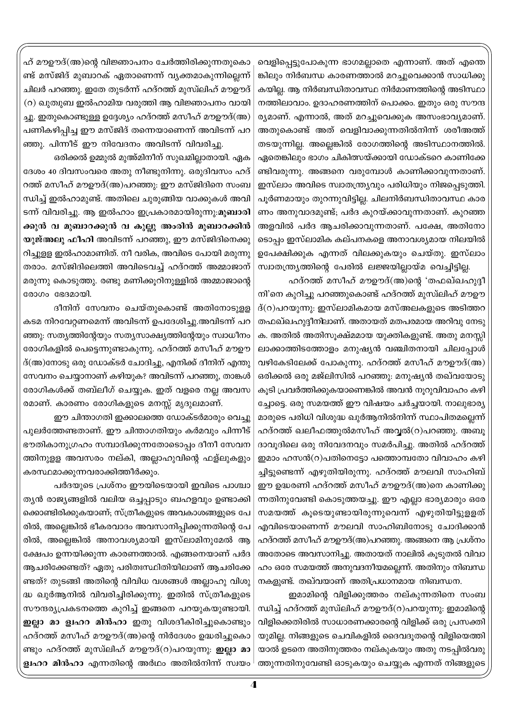വെളിപ്പെട്ടുപോകുന്ന ഭാഗമല്ലാതെ എന്നാണ്. അത് എന്തെ ങ്കിലും നിർബന്ധ കാരണത്താൽ മറച്ചുവെക്കാൻ സാധിക്കു കയില്ല. ആ നിർബന്ധിതാവസ്ഥ നിർമാണത്തിന്റെ അടിസ്ഥാ നത്തിലാവാം. ഉദാഹരണത്തിന് പൊക്കം. ഇതും ഒരു സൗന്ദ ര്യമാണ്. എന്നാൽ, അത് മറച്ചുവെക്കുക അസംഭാവ്യമാണ്. അതുകൊണ്ട് അത് വെളിവാക്കുന്നതിൽനിന്ന് ശരീഅത്ത് തടയുന്നില്ല. അല്ലെങ്കിൽ രോഗത്തിന്റെ അടിസ്ഥാനത്തിൽ. ഏതെങ്കിലും ഭാഗം ചികിത്സയ്ക്കായി ഡോക്ടറെ കാണിക്കേ ണ്ടിവരുന്നു. അങ്ങനെ വരുമ്പോൾ കാണിക്കാവുന്നതാണ്. ഇസ്ലാം അവിടെ സ്വാതന്ത്ര്യവും പരിധിയും നിജപ്പെടുത്തി. പൂർണമായും തുറന്നുവിട്ടില്ല. ചിലനിർബന്ധിതാവസ്ഥ കാര ണം അനുവാദമുണ്ട്; പർദ കുറയ്ക്കാവുന്നതാണ്. കുറഞ്ഞ അളവിൽ പർദ ആചരിക്കാവുന്നതാണ്. പക്ഷേ, അതിനോ ടൊപ്പം ഇസ്ലാമിക കല്പനകളെ അനാവശ്യമായ നിലയിൽ ഉപേക്ഷിക്കുക എന്നത് വിലക്കുകയും ചെയ്തു. ഇസ്ലാം സ്വാതന്ത്ര്യത്തിന്റെ പേരിൽ ലജ്ജയില്ലായ്മ വെച്ചിട്ടില്ല.

ഹദ്റത്ത് മസീഹ് മൗഊദ്(അ)ന്റെ 'തഫഖ്ഖഹുദ്ദീ നി'നെ കുറിച്ചു പറഞ്ഞുകൊണ്ട് ഹദ്റത്ത് മുസ്ഥിഹ് മൗഊ  $\ddot{\text{B}}(0)$ പറയുന്നു: ഇസ്ലാമികമായ മസ്അലകളുടെ അടിത്തറ തഫഖ്ഖഹുദ്ദീനിലാണ്. അതായത് മതപരമായ അറിവു നേടു ക. അതിൽ അതിസൂക്ഷ്മമായ യുക്തികളുണ്ട്. അതു മനസ്സി ലാക്കാത്തിടത്തോളം മനുഷ്യൻ വഞ്ചിതനായി ചിലപ്പോൾ വഴികേടിലേക്ക് പോകുന്നു. ഹദ്റത്ത് മസീഹ് മൗഊദ്(അ) ഒരിക്കൽ ഒരു മജ്ലിസിൽ പറഞ്ഞു: മനുഷ്യൻ തഖ്വയോടു കുടി പ്രവർത്തിക്കുകയാണെങ്കിൽ അവൻ നുറുവിവാഹം കഴി ച്ചോട്ടെ. ഒരു സമയത്ത് ഈ വിഷയം ചർച്ചയായി. നാലുഭാര്യ മാരുടെ പരിധി വിശുദ്ധ ഖുർആനിൽനിന്ന് സ്ഥാപിതമല്ലെന്ന് ഹദ്റത്ത് ഖലീഫത്തുൽമസീഹ് അവ്വൽ(റ)പറഞ്ഞു. അബൂ ദാവൂദിലെ ഒരു നിവേദനവും സമർപിച്ചു. അതിൽ ഹദ്റത്ത് ഇമാം ഹസൻ(റ)പതിനെട്ടോ പത്തൊമ്പതോ വിവാഹം കഴി ച്ചിട്ടുണ്ടെന്ന് എഴുതിയിരുന്നു. ഹദ്റത്ത് മൗലവി സാഹിബ് ഈ ഉദ്ധരണി ഹദ്റത്ത് മസീഹ് മൗഊദ്(അ)നെ കാണിക്കു ന്നതിനുവേണ്ടി കൊടുത്തയച്ചു. ഈ എല്ലാ ഭാര്യമാരും ഒരേ സമയത്ത് കൂടെയുണ്ടായിരുന്നുവെന്ന് എഴുതിയിട്ടുളളത് എവിടെയാണെന്ന് മൗലവി സാഹിബിനോടു ചോദിക്കാൻ ഹദ്റത്ത് മസീഹ് മൗഊദ്(അ)പറഞ്ഞു. അങ്ങനെ ആ പ്രശ്നം അതോടെ അവസാനിച്ചു. അതായത് നാലിൽ കൂടുതൽ വിവാ ഹം ഒരേ സമയത്ത് അനുവദനീയമല്ലെന്ന്. അതിനും നിബന്ധ നകളുണ്ട്. തഖ്വയാണ് അതിപ്രധാനമായ നിബന്ധന.

ഇമാമിന്റെ വിളിക്കുത്തരം നല്കുന്നതിനെ സംബ ന്ധിച്ച് ഹദ്റത്ത് മുസ്ലിഹ് മൗഊദ്(റ)പറയുന്നു: ഇമാമിന്റെ വിളിക്കെതിരിൽ സാധാരണക്കാരന്റെ വിളിക്ക് ഒരു പ്രസക്തി യുമില്ല. നിങ്ങളുടെ ചെവികളിൽ ദൈവദൂതന്റെ വിളിയെത്തി യാൽ ഉടനെ അതിനുത്തരം നല്കുകയും അതു നടപ്പിൽവരു ത്തുന്നതിനുവേണ്ടി ഓടുകയും ചെയ്യുക എന്നത് നിങ്ങളുടെ

ഹ് മൗഊദ്(അ)ന്റെ വിജ്ഞാപനം ചേർത്തിരിക്കുന്നതുകൊ ണ്ട് മസ്ജിദ് മുബാറക് ഏതാണെന്ന് വ്യക്തമാകുന്നില്ലെന്ന് ചിലർ പറഞ്ഞു. ഇതേ തുടർന്ന് ഹദ്റത്ത് മുസ്ഥിഹ് മൗഊദ് (റ) ഖുതുബ ഇൽഹാമിയ വരുത്തി ആ വിജ്ഞാപനം വായി ച്ചു. ഇതുകൊണ്ടുള്ള ഉദ്ദേശ്യം ഹദ്റത്ത് മസീഹ് മൗഊദ്(അ) പണികഴിപ്പിച്ച ഈ മസ്ജിദ് തന്നെയാണെന്ന് അവിടന്ന് പറ ഞ്ഞു. പിന്നീട് ഈ നിവേദനം അവിടന്ന് വിവരിച്ചു.

ഒരിക്കൽ ഉമ്മുൽ മുഅ്മിനീന് സുഖമില്ലാതായി. ഏക ദേശം 40 ദിവസംവരെ അതു നീണ്ടുനിന്നു. ഒരുദിവസം ഹദ് റത്ത് മസീഹ് മൗഊദ്(അ)പറഞ്ഞു: ഈ മസ്ജിദിനെ സംബ ന്ധിച്ച് ഇൽഹാമുണ്ട്. അതിലെ ചുരുങ്ങിയ വാക്കുകൾ അവി ടന്ന് വിവരിച്ചു. ആ ഇൽഹാം ഇപ്രകാരമായിരുന്നു:മുബാരി ക്കുൻ വ മുബാറക്കുൻ വ കുല്ലു അംരിൻ മുബാറക്കിൻ യുജ്അലു ഫീഹി അവിടന്ന് പറഞ്ഞു, ഈ മസ്ജിദിനെക്കു റിച്ചുളള ഇൽഹാമാണിത്. നീ വരിക, അവിടെ പോയി മരുന്നു തരാം. മസ്ജിദിലെത്തി അവിടെവച്ച് ഹദ്റത്ത് അമ്മാജാന് മരുന്നു കൊടുത്തു. രണ്ടു മണിക്കൂറിനുള്ളിൽ അമ്മാജാന്റെ രോഗം ഭേദമായി.

ദീനിന് സേവനം ചെയ്തുകൊണ്ട് അതിനോടുളള കടമ നിറവേറ്റണമെന്ന് അവിടന്ന് ഉപദേശിച്ചു.അവിടന്ന് പറ ഞ്ഞു: സതൃത്തിന്റേയും സതൃസാക്ഷ്യത്തിന്റേയും സ്വാധീനം രോഗികളിൽ പെട്ടെന്നുണ്ടാകുന്നു. ഹദ്റത്ത് മസീഹ് മൗഊ ദ്(അ)നോടു ഒരു ഡോക്ടർ ചോദിച്ചു, എനിക്ക് ദീനിന് എന്തു സേവനം ചെയ്യാനാണ് കഴിയുക? അവിടന്ന് പറഞ്ഞു, താങ്കൾ രോഗികൾക്ക് തബ്ലീഗ് ചെയ്യുക. ഇത് വളരെ നല്ല അവസ രമാണ്. കാരണം രോഗികളുടെ മനസ്സ് മൃദുലമാണ്.

ഈ ചിന്താഗതി ഇക്കാലത്തെ ഡോക്ടർമാരും വെച്ചു പുലർത്തേണ്ടതാണ്. ഈ ചിന്താഗതിയും കർമവും പിന്നീട് ഭൗതികാനുഗ്രഹം സമ്പാദിക്കുന്നതോടൊപ്പം ദീനീ സേവന ത്തിനുളള അവസരം നല്കി, അല്ലാഹുവിന്റെ ഫള്ലുകളും കരസ്ഥമാക്കുന്നവരാക്കിത്തീർക്കും.

പർദയുടെ പ്രശ്നം ഈയിടെയായി ഇവിടെ പാശ്ചാ ത്യൻ രാജ്യങ്ങളിൽ വലിയ ഒച്ചപ്പാടും ബഹളവും ഉണ്ടാക്കി ക്കൊണ്ടിരിക്കുകയാണ്; സ്ത്രീകളുടെ അവകാശങ്ങളുടെ പേ രിൽ, അല്ലെങ്കിൽ ഭീകരവാദം അവസാനിപ്പിക്കുന്നതിന്റെ പേ രിൽ, അല്ലെങ്കിൽ അനാവശ്യമായി ഇസ്ലാമിനുമേൽ ആ ക്ഷേപം ഉന്നയിക്കുന്ന കാരണത്താൽ. എങ്ങനെയാണ് പർദ ആചരിക്കേണ്ടത്? ഏതു പരിതഃസ്ഥിതിയിലാണ് ആചരിക്കേ ണ്ടത്? തുടങ്ങി അതിന്റെ വിവിധ വശങ്ങൾ അല്ലാഹു വിശു ദ്ധ ഖുർആനിൽ വിവരിച്ചിരിക്കുന്നു. ഇതിൽ സ്ത്രീകളുടെ സൗന്ദര്യപ്രകടനത്തെ കുറിച്ച് ഇങ്ങനെ പറയുകയുണ്ടായി. ഇല്ലാ മാ ള്വഹറ മിൻഹാ ഇതു വിശദീകിരിച്ചുകൊണ്ടും ഹദ്റത്ത് മസീഹ് മൗഊദ്(അ)ന്റെ നിർദേശം ഉദ്ധരിച്ചുകൊ ണ്ടും ഹദ്റത്ത് മുസ്ഥിഹ് മൗഊദ്(റ)പറയുന്നു. ഇല്ലാ മാ **ള്വഹറ മിൻഹാ** എന്നതിന്റെ അർഥം അതിൽനിന്ന് സ്വയം<sup>|</sup>